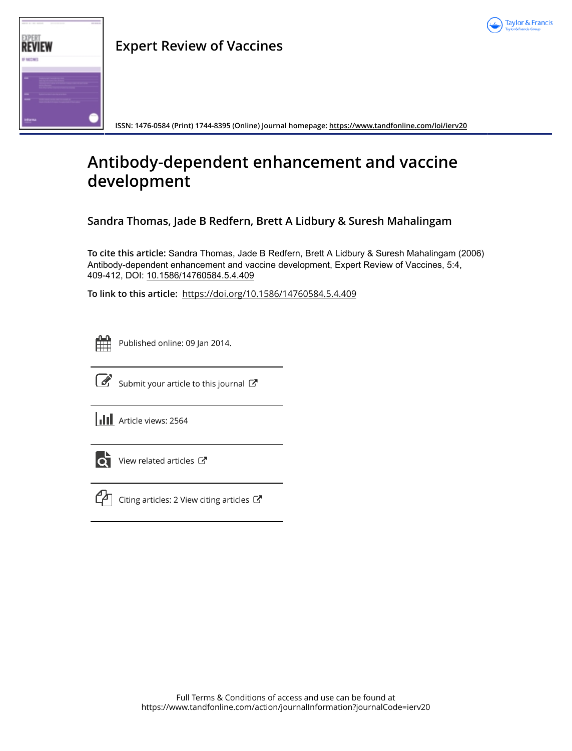



**Expert Review of Vaccines**

**ISSN: 1476-0584 (Print) 1744-8395 (Online) Journal homepage: https://www.tandfonline.com/loi/ierv20**

## **Antibody-dependent enhancement and vaccine development**

**Sandra Thomas, Jade B Redfern, Brett A Lidbury & Suresh Mahalingam**

**To cite this article:** Sandra Thomas, Jade B Redfern, Brett A Lidbury & Suresh Mahalingam (2006) Antibody-dependent enhancement and vaccine development, Expert Review of Vaccines, 5:4, 409-412, DOI: 10.1586/14760584.5.4.409

**To link to this article:** https://doi.org/10.1586/14760584.5.4.409



Published online: 09 Jan 2014.



Submit your article to this journal  $\mathbb{Z}$ 

**III** Article views: 2564



 $\overrightarrow{Q}$  View related articles  $\overrightarrow{C}$ 



 $\mathbb{C}$  Citing articles: 2 View citing articles  $\mathbb{C}$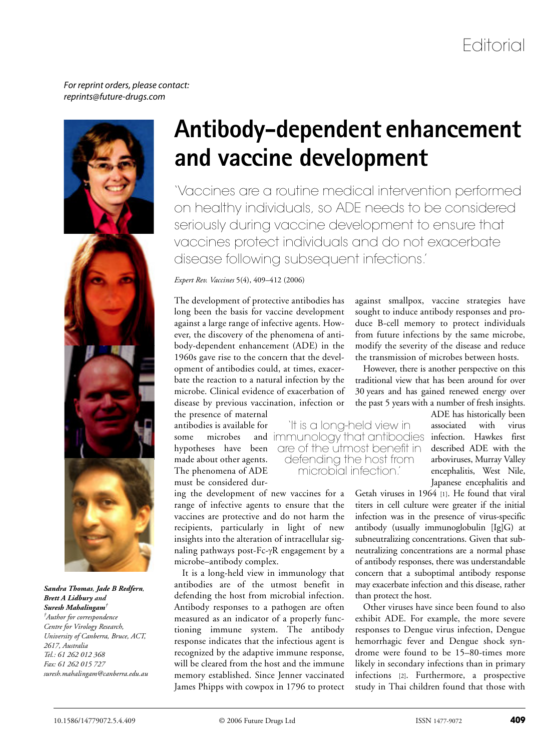# Editorial

## *For reprint orders, please contact: reprints@future-drugs.com*



*Sandra Thomas, Jade B Redfern, Brett A Lidbury and Suresh Mahalingam† †Author for correspondence Centre for Virology Research, University of Canberra, Bruce, ACT, 2617, Australia Tel.: 61 262 012 368 Fax: 61 262 015 727 suresh.mahalingam@canberra.edu.au*

# **Antibody-dependent enhancement and vaccine development**

'Vaccines are a routine medical intervention performed on healthy individuals, so ADE needs to be considered seriously during vaccine development to ensure that vaccines protect individuals and do not exacerbate disease following subsequent infections.'

*Expert Rev. Vaccines* 5(4), 409–412 (2006)

The development of protective antibodies has long been the basis for vaccine development against a large range of infective agents. However, the discovery of the phenomena of antibody-dependent enhancement (ADE) in the 1960s gave rise to the concern that the development of antibodies could, at times, exacerbate the reaction to a natural infection by the microbe. Clinical evidence of exacerbation of disease by previous vaccination, infection or the presence of maternal

antibodies is available for some microbes hypotheses have been made about other agents. The phenomena of ADE must be considered dur-

ing the development of new vaccines for a range of infective agents to ensure that the vaccines are protective and do not harm the recipients, particularly in light of new insights into the alteration of intracellular signaling pathways post-Fc-γR engagement by a microbe–antibody complex.

It is a long-held view in immunology that antibodies are of the utmost benefit in defending the host from microbial infection. Antibody responses to a pathogen are often measured as an indicator of a properly functioning immune system. The antibody response indicates that the infectious agent is recognized by the adaptive immune response, will be cleared from the host and the immune memory established. Since Jenner vaccinated James Phipps with cowpox in 1796 to protect

immunology that antibodies infection. Hawkes first 'It is a long-held view in are of the utmost benefit in defending the host from microbial infection.'

against smallpox, vaccine strategies have sought to induce antibody responses and produce B-cell memory to protect individuals from future infections by the same microbe, modify the severity of the disease and reduce the transmission of microbes between hosts.

However, there is another perspective on this traditional view that has been around for over 30 years and has gained renewed energy over the past 5 years with a number of fresh insights.

ADE has historically been associated with virus described ADE with the arboviruses, Murray Valley encephalitis, West Nile, Japanese encephalitis and

Getah viruses in 1964 [1]. He found that viral titers in cell culture were greater if the initial infection was in the presence of virus-specific antibody (usually immunoglobulin [Ig]G) at subneutralizing concentrations. Given that subneutralizing concentrations are a normal phase of antibody responses, there was understandable concern that a suboptimal antibody response may exacerbate infection and this disease, rather than protect the host.

Other viruses have since been found to also exhibit ADE. For example, the more severe responses to Dengue virus infection, Dengue hemorrhagic fever and Dengue shock syndrome were found to be 15–80-times more likely in secondary infections than in primary infections [2]. Furthermore, a prospective study in Thai children found that those with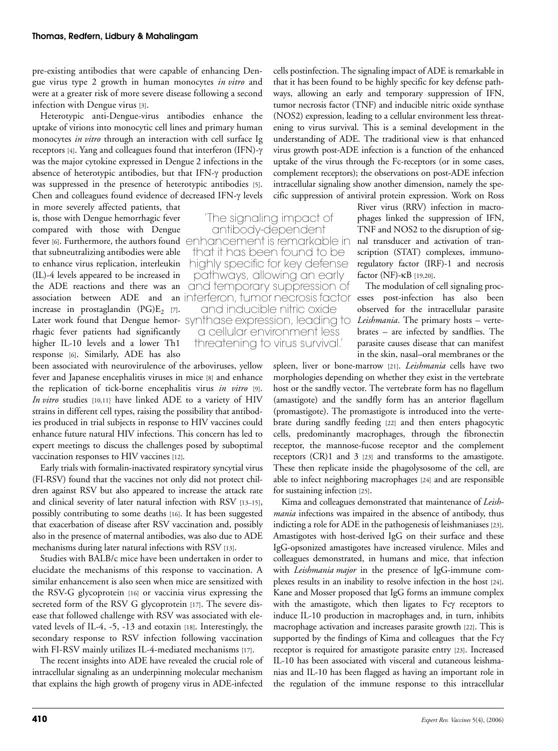pre-existing antibodies that were capable of enhancing Dengue virus type 2 growth in human monocytes *in vitro* and were at a greater risk of more severe disease following a second infection with Dengue virus [3].

Heterotypic anti-Dengue-virus antibodies enhance the uptake of virions into monocytic cell lines and primary human monocytes *in vitro* through an interaction with cell surface Ig receptors [4]. Yang and colleagues found that interferon (IFN)-γ was the major cytokine expressed in Dengue 2 infections in the absence of heterotypic antibodies, but that IFN-γ production was suppressed in the presence of heterotypic antibodies [5]. Chen and colleagues found evidence of decreased IFN-γ levels

> 'The signaling impact of antibody-dependent

that it has been found to be highly specific for key defense pathways, allowing an early and temporary suppression of

and inducible nitric oxide

a cellular environment less threatening to virus survival.'

in more severely affected patients, that is, those with Dengue hemorrhagic fever compared with those with Dengue fever [6]. Furthermore, the authors found enhancement is remarkable in that subneutralizing antibodies were able to enhance virus replication, interleukin (IL)-4 levels appeared to be increased in the ADE reactions and there was an association between ADE and an interferon, tumor necrosis factor increase in prostaglandin  $(PG)E_2$  [7]. Later work found that Dengue hemor-synthase expression, leading to rhagic fever patients had significantly higher IL-10 levels and a lower Th1 response [6]. Similarly, ADE has also

been associated with neurovirulence of the arboviruses, yellow fever and Japanese encephalitis viruses in mice [8] and enhance the replication of tick-borne encephalitis virus *in vitro* [9]. *In vitro* studies [10,11] have linked ADE to a variety of HIV strains in different cell types, raising the possibility that antibodies produced in trial subjects in response to HIV vaccines could enhance future natural HIV infections. This concern has led to expert meetings to discuss the challenges posed by suboptimal vaccination responses to HIV vaccines [12].

Early trials with formalin-inactivated respiratory syncytial virus (FI-RSV) found that the vaccines not only did not protect children against RSV but also appeared to increase the attack rate and clinical severity of later natural infection with RSV [13–15], possibly contributing to some deaths [16]. It has been suggested that exacerbation of disease after RSV vaccination and, possibly also in the presence of maternal antibodies, was also due to ADE mechanisms during later natural infections with RSV [13].

Studies with BALB/c mice have been undertaken in order to elucidate the mechanisms of this response to vaccination. A similar enhancement is also seen when mice are sensitized with the RSV-G glycoprotein [16] or vaccinia virus expressing the secreted form of the RSV G glycoprotein [17]. The severe disease that followed challenge with RSV was associated with elevated levels of IL-4, -5, -13 and eotaxin [18]. Interestingly, the secondary response to RSV infection following vaccination with FI-RSV mainly utilizes IL-4-mediated mechanisms [17].

The recent insights into ADE have revealed the crucial role of intracellular signaling as an underpinning molecular mechanism that explains the high growth of progeny virus in ADE-infected

cells postinfection. The signaling impact of ADE is remarkable in that it has been found to be highly specific for key defense pathways, allowing an early and temporary suppression of IFN, tumor necrosis factor (TNF) and inducible nitric oxide synthase (NOS2) expression, leading to a cellular environment less threatening to virus survival. This is a seminal development in the understanding of ADE. The traditional view is that enhanced virus growth post-ADE infection is a function of the enhanced uptake of the virus through the Fc-receptors (or in some cases, complement receptors); the observations on post-ADE infection intracellular signaling show another dimension, namely the specific suppression of antiviral protein expression. Work on Ross

> River virus (RRV) infection in macrophages linked the suppression of IFN, TNF and NOS2 to the disruption of signal transducer and activation of transcription (STAT) complexes, immunoregulatory factor (IRF)-1 and necrosis factor (NF)-κB [19,20].

> The modulation of cell signaling processes post-infection has also been observed for the intracellular parasite *Leishmania*. The primary hosts – vertebrates – are infected by sandflies. The parasite causes disease that can manifest in the skin, nasal–oral membranes or the

spleen, liver or bone-marrow [21]. *Leishmania* cells have two morphologies depending on whether they exist in the vertebrate host or the sandfly vector. The vertebrate form has no flagellum (amastigote) and the sandfly form has an anterior flagellum (promastigote). The promastigote is introduced into the vertebrate during sandfly feeding [22] and then enters phagocytic cells, predominantly macrophages, through the fibronectin receptor, the mannose-fucose receptor and the complement receptors (CR)1 and 3 [23] and transforms to the amastigote. These then replicate inside the phagolysosome of the cell, are able to infect neighboring macrophages [24] and are responsible for sustaining infection [25].

Kima and colleagues demonstrated that maintenance of *Leishmania* infections was impaired in the absence of antibody, thus indicting a role for ADE in the pathogenesis of leishmaniases [23]. Amastigotes with host-derived IgG on their surface and these IgG-opsonized amastigotes have increased virulence. Miles and colleagues demonstrated, in humans and mice, that infection with *Leishmania major* in the presence of IgG-immune complexes results in an inability to resolve infection in the host [24]. Kane and Mosser proposed that IgG forms an immune complex with the amastigote, which then ligates to Fcγ receptors to induce IL-10 production in macrophages and, in turn, inhibits macrophage activation and increases parasite growth [22]. This is supported by the findings of Kima and colleagues that the Fcγ receptor is required for amastigote parasite entry [23]. Increased IL-10 has been associated with visceral and cutaneous leishmanias and IL-10 has been flagged as having an important role in the regulation of the immune response to this intracellular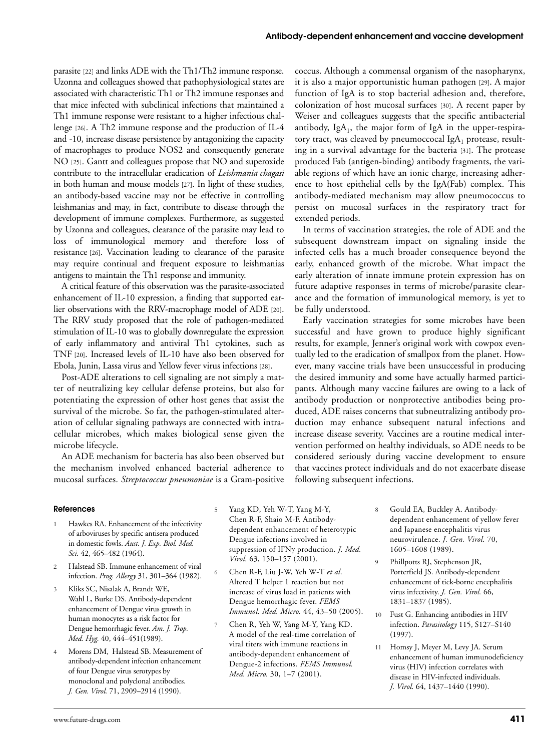parasite [22] and links ADE with the Th1/Th2 immune response. Uzonna and colleagues showed that pathophysiological states are associated with characteristic Th1 or Th2 immune responses and that mice infected with subclinical infections that maintained a Th1 immune response were resistant to a higher infectious challenge [26]. A Th2 immune response and the production of IL-4 and -10, increase disease persistence by antagonizing the capacity of macrophages to produce NOS2 and consequently generate NO [25]. Gantt and colleagues propose that NO and superoxide contribute to the intracellular eradication of *Leishmania chagasi* in both human and mouse models [27]. In light of these studies, an antibody-based vaccine may not be effective in controlling leishmanias and may, in fact, contribute to disease through the development of immune complexes. Furthermore, as suggested by Uzonna and colleagues, clearance of the parasite may lead to loss of immunological memory and therefore loss of resistance [26]. Vaccination leading to clearance of the parasite may require continual and frequent exposure to leishmanias antigens to maintain the Th1 response and immunity.

A critical feature of this observation was the parasite-associated enhancement of IL-10 expression, a finding that supported earlier observations with the RRV-macrophage model of ADE [20]. The RRV study proposed that the role of pathogen-mediated stimulation of IL-10 was to globally downregulate the expression of early inflammatory and antiviral Th1 cytokines, such as TNF [20]. Increased levels of IL-10 have also been observed for Ebola, Junin, Lassa virus and Yellow fever virus infections [28].

Post-ADE alterations to cell signaling are not simply a matter of neutralizing key cellular defense proteins, but also for potentiating the expression of other host genes that assist the survival of the microbe. So far, the pathogen-stimulated alteration of cellular signaling pathways are connected with intracellular microbes, which makes biological sense given the microbe lifecycle.

An ADE mechanism for bacteria has also been observed but the mechanism involved enhanced bacterial adherence to mucosal surfaces. *Streptococcus pneumoniae* is a Gram-positive coccus. Although a commensal organism of the nasopharynx, it is also a major opportunistic human pathogen [29]. A major function of IgA is to stop bacterial adhesion and, therefore, colonization of host mucosal surfaces [30]. A recent paper by Weiser and colleagues suggests that the specific antibacterial antibody, Ig $A_1$ , the major form of Ig $A$  in the upper-respiratory tract, was cleaved by pneumoccocal Ig $\rm A_{1}$  protease, resulting in a survival advantage for the bacteria [31]. The protease produced Fab (antigen-binding) antibody fragments, the variable regions of which have an ionic charge, increasing adherence to host epithelial cells by the IgA(Fab) complex. This antibody-mediated mechanism may allow pneumococcus to persist on mucosal surfaces in the respiratory tract for extended periods.

In terms of vaccination strategies, the role of ADE and the subsequent downstream impact on signaling inside the infected cells has a much broader consequence beyond the early, enhanced growth of the microbe. What impact the early alteration of innate immune protein expression has on future adaptive responses in terms of microbe/parasite clearance and the formation of immunological memory, is yet to be fully understood.

Early vaccination strategies for some microbes have been successful and have grown to produce highly significant results, for example, Jenner's original work with cowpox eventually led to the eradication of smallpox from the planet. However, many vaccine trials have been unsuccessful in producing the desired immunity and some have actually harmed participants. Although many vaccine failures are owing to a lack of antibody production or nonprotective antibodies being produced, ADE raises concerns that subneutralizing antibody production may enhance subsequent natural infections and increase disease severity. Vaccines are a routine medical intervention performed on healthy individuals, so ADE needs to be considered seriously during vaccine development to ensure that vaccines protect individuals and do not exacerbate disease following subsequent infections.

#### **References**

- 1 Hawkes RA. Enhancement of the infectivity of arboviruses by specific antisera produced in domestic fowls. *Aust. J. Exp. Biol. Med. Sci.* 42, 465–482 (1964).
- 2 Halstead SB. Immune enhancement of viral infection. *Prog. Allergy* 31, 301–364 (1982).
- 3 Kliks SC, Nisalak A, Brandt WE, Wahl L, Burke DS. Antibody-dependent enhancement of Dengue virus growth in human monocytes as a risk factor for Dengue hemorrhagic fever. *Am. J. Trop. Med. Hyg.* 40, 444–451(1989).
- 4 Morens DM, Halstead SB. Measurement of antibody-dependent infection enhancement of four Dengue virus serotypes by monoclonal and polyclonal antibodies. *J. Gen. Virol.* 71, 2909–2914 (1990).
- 5 Yang KD, Yeh W-T, Yang M-Y, Chen R-F, Shaio M-F. Antibodydependent enhancement of heterotypic Dengue infections involved in suppression of IFNγ production. *J. Med. Virol.* 63, 150–157 (2001).
- 6 Chen R-F, Liu J-W, Yeh W-T *et al*. Altered T helper 1 reaction but not increase of virus load in patients with Dengue hemorrhagic fever. *FEMS Immunol. Med. Micro.* 44, 43–50 (2005).
- 7 Chen R, Yeh W, Yang M-Y, Yang KD. A model of the real-time correlation of viral titers with immune reactions in antibody-dependent enhancement of Dengue-2 infections. *FEMS Immunol. Med. Micro.* 30, 1–7 (2001).
- 8 Gould EA, Buckley A. Antibodydependent enhancement of yellow fever and Japanese encephalitis virus neurovirulence. *J. Gen. Virol.* 70, 1605–1608 (1989).
- 9 Phillpotts RJ, Stephenson JR, Porterfield JS. Antibody-dependent enhancement of tick-borne encephalitis virus infectivity. *J. Gen. Virol.* 66, 1831–1837 (1985).
- 10 Fust G. Enhancing antibodies in HIV infection. *Parasitology* 115, S127–S140 (1997).
- 11 Homsy J, Meyer M, Levy JA. Serum enhancement of human immunodeficiency virus (HIV) infection correlates with disease in HIV-infected individuals. *J. Virol.* 64, 1437–1440 (1990).